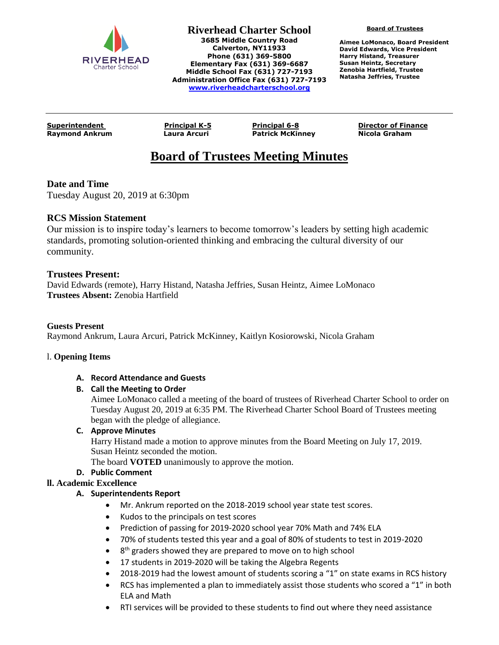

**Board of Trustees**

**Aimee LoMonaco, Board President David Edwards, Vice President Harry Histand, Treasurer Susan Heintz, Secretary Zenobia Hartfield, Trustee Natasha Jeffries, Trustee**

**Raymond Ankrum Laura Arcuri Patrick McKinney Nicola Graham**

**Superintendent Principal K-5 Principal 6-8 Director of Finance**

# **Board of Trustees Meeting Minutes**

## **Date and Time**

Tuesday August 20, 2019 at 6:30pm

## **RCS Mission Statement**

Our mission is to inspire today's learners to become tomorrow's leaders by setting high academic standards, promoting solution-oriented thinking and embracing the cultural diversity of our community.

### **Trustees Present:**

David Edwards (remote), Harry Histand, Natasha Jeffries, Susan Heintz, Aimee LoMonaco **Trustees Absent:** Zenobia Hartfield

#### **Guests Present**

Raymond Ankrum, Laura Arcuri, Patrick McKinney, Kaitlyn Kosiorowski, Nicola Graham

#### l. **Opening Items**

#### **A. Record Attendance and Guests**

#### **B. Call the Meeting to Order**

Aimee LoMonaco called a meeting of the board of trustees of Riverhead Charter School to order on Tuesday August 20, 2019 at 6:35 PM. The Riverhead Charter School Board of Trustees meeting began with the pledge of allegiance.

#### **C. Approve Minutes**

Harry Histand made a motion to approve minutes from the Board Meeting on July 17, 2019. Susan Heintz seconded the motion.

The board **VOTED** unanimously to approve the motion.

#### **D. Public Comment**

#### **ll. Academic Excellence**

#### **A. Superintendents Report**

- Mr. Ankrum reported on the 2018-2019 school year state test scores.
- Kudos to the principals on test scores
- Prediction of passing for 2019-2020 school year 70% Math and 74% ELA
- 70% of students tested this year and a goal of 80% of students to test in 2019-2020
- 8<sup>th</sup> graders showed they are prepared to move on to high school
- 17 students in 2019-2020 will be taking the Algebra Regents
- 2018-2019 had the lowest amount of students scoring a "1" on state exams in RCS history
- RCS has implemented a plan to immediately assist those students who scored a "1" in both ELA and Math
- RTI services will be provided to these students to find out where they need assistance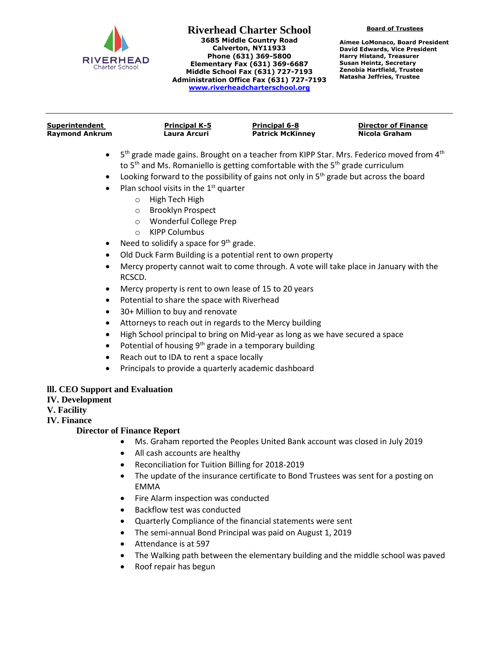

**Board of Trustees**

**Aimee LoMonaco, Board President David Edwards, Vice President Harry Histand, Treasurer Susan Heintz, Secretary Zenobia Hartfield, Trustee Natasha Jeffries, Trustee**

| Superintendent        | <b>Principal K-5</b> | <b>Principal 6-8</b>    | <b>Director of Finance</b> |
|-----------------------|----------------------|-------------------------|----------------------------|
| <b>Raymond Ankrum</b> | Laura Arcuri         | <b>Patrick McKinney</b> | Nicola Graham              |
|                       |                      |                         |                            |

- $\bullet$  5<sup>th</sup> grade made gains. Brought on a teacher from KIPP Star. Mrs. Federico moved from 4<sup>th</sup> to  $5<sup>th</sup>$  and Ms. Romaniello is getting comfortable with the  $5<sup>th</sup>$  grade curriculum
- Looking forward to the possibility of gains not only in  $5<sup>th</sup>$  grade but across the board
- Plan school visits in the  $1<sup>st</sup>$  quarter
	- o High Tech High
	- o Brooklyn Prospect
	- o Wonderful College Prep
	- o KIPP Columbus
- Need to solidify a space for  $9<sup>th</sup>$  grade.
- Old Duck Farm Building is a potential rent to own property
- Mercy property cannot wait to come through. A vote will take place in January with the RCSCD.
- Mercy property is rent to own lease of 15 to 20 years
- Potential to share the space with Riverhead
- 30+ Million to buy and renovate
- Attorneys to reach out in regards to the Mercy building
- High School principal to bring on Mid-year as long as we have secured a space
- Potential of housing 9<sup>th</sup> grade in a temporary building
- Reach out to IDA to rent a space locally
- Principals to provide a quarterly academic dashboard

#### **lll. CEO Support and Evaluation**

**IV. Development**

#### **V. Facility**

**IV. Finance**

#### **Director of Finance Report**

- Ms. Graham reported the Peoples United Bank account was closed in July 2019
- All cash accounts are healthy
- Reconciliation for Tuition Billing for 2018-2019
- The update of the insurance certificate to Bond Trustees was sent for a posting on EMMA
- Fire Alarm inspection was conducted
- Backflow test was conducted
- Quarterly Compliance of the financial statements were sent
- The semi-annual Bond Principal was paid on August 1, 2019
- Attendance is at 597
- The Walking path between the elementary building and the middle school was paved
- Roof repair has begun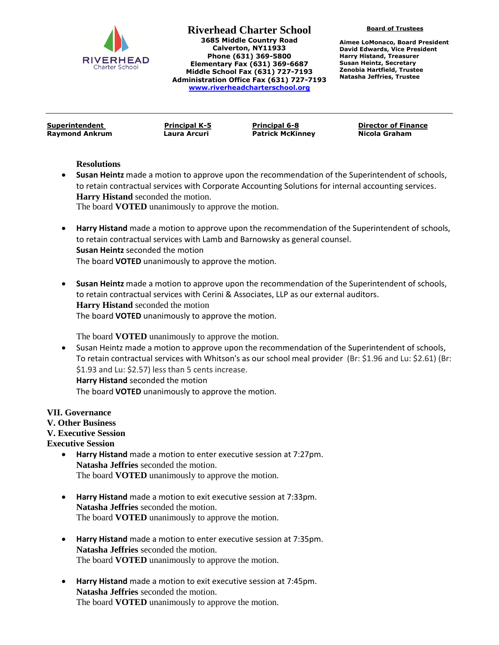

**Board of Trustees**

**Aimee LoMonaco, Board President David Edwards, Vice President Harry Histand, Treasurer Susan Heintz, Secretary Zenobia Hartfield, Trustee Natasha Jeffries, Trustee**

**Superintendent Principal K-5 Principal 6-8 Director of Finance Raymond Ankrum Laura Arcuri Patrick McKinney Nicola Graham**

**Resolutions**

 **Susan Heintz** made a motion to approve upon the recommendation of the Superintendent of schools, to retain contractual services with Corporate Accounting Solutions for internal accounting services. **Harry Histand** seconded the motion.

The board **VOTED** unanimously to approve the motion.

- **Harry Histand** made a motion to approve upon the recommendation of the Superintendent of schools, to retain contractual services with Lamb and Barnowsky as general counsel. **Susan Heintz** seconded the motion The board **VOTED** unanimously to approve the motion.
- **Susan Heintz** made a motion to approve upon the recommendation of the Superintendent of schools, to retain contractual services with Cerini & Associates, LLP as our external auditors. **Harry Histand** seconded the motion The board **VOTED** unanimously to approve the motion.

The board **VOTED** unanimously to approve the motion.

 Susan Heintz made a motion to approve upon the recommendation of the Superintendent of schools, To retain contractual services with Whitson's as our school meal provider (Br: \$1.96 and Lu: \$2.61) (Br: \$1.93 and Lu: \$2.57) less than 5 cents increase. **Harry Histand** seconded the motion The board **VOTED** unanimously to approve the motion.

**VII. Governance**

**V. Other Business**

**V. Executive Session**

**Executive Session**

- **Harry Histand** made a motion to enter executive session at 7:27pm. **Natasha Jeffries** seconded the motion. The board **VOTED** unanimously to approve the motion.
- **Harry Histand** made a motion to exit executive session at 7:33pm. **Natasha Jeffries** seconded the motion. The board **VOTED** unanimously to approve the motion.
- **Harry Histand** made a motion to enter executive session at 7:35pm. **Natasha Jeffries** seconded the motion. The board **VOTED** unanimously to approve the motion.
- **Harry Histand** made a motion to exit executive session at 7:45pm. **Natasha Jeffries** seconded the motion. The board **VOTED** unanimously to approve the motion.